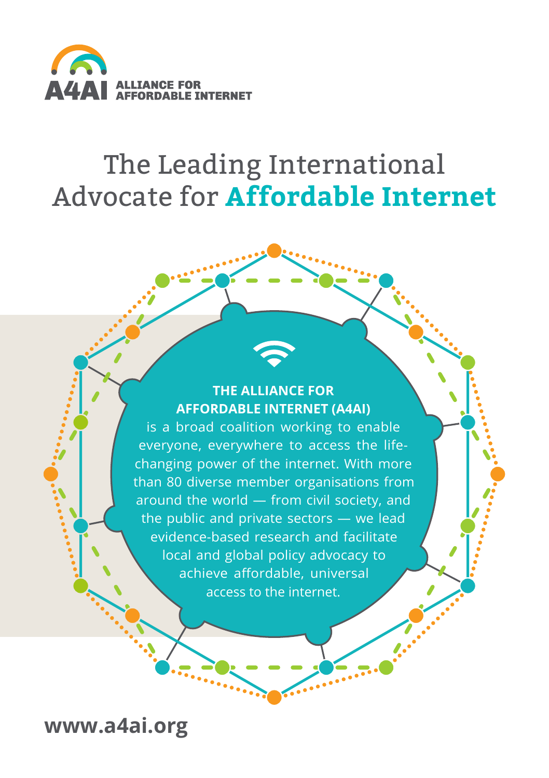

# The Leading International Advocate for **Affordable Internet**

### **THE ALLIANCE FOR AFFORDABLE INTERNET (A4AI)**

is a broad coalition working to enable everyone, everywhere to access the lifechanging power of the internet. With more than 80 diverse member organisations from around the world — from civil society, and the public and private sectors — we lead evidence-based research and facilitate local and global policy advocacy to achieve affordable, universal access to the internet.

**[www.a4ai.org](http://www.a4ai.org)**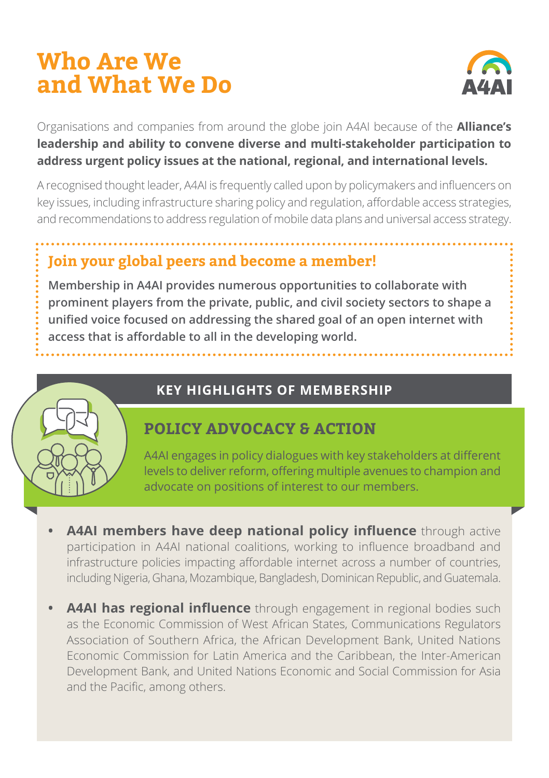## **Who Are We and What We Do**



Organisations and companies from around the globe join A4AI because of the **Alliance's leadership and ability to convene diverse and multi-stakeholder participation to address urgent policy issues at the national, regional, and international levels.** 

A recognised thought leader, A4AI is frequently called upon by policymakers and influencers on key issues, including infrastructure sharing policy and regulation, affordable access strategies, and recommendations to address regulation of mobile data plans and universal access strategy.

## **Join your global peers and become a member!**

**Membership in A4AI provides numerous opportunities to collaborate with prominent players from the private, public, and civil society sectors to shape a unified voice focused on addressing the shared goal of an open internet with access that is affordable to all in the developing world.** 



#### **KEY HIGHLIGHTS OF MEMBERSHIP**

## **POLICY ADVOCACY & ACTION**

A4AI engages in policy dialogues with key stakeholders at different levels to deliver reform, offering multiple avenues to champion and advocate on positions of interest to our members.

- **A4AI members have deep national policy influence** through active participation in A4AI national coalitions, working to influence broadband and infrastructure policies impacting affordable internet across a number of countries, including Nigeria, Ghana, Mozambique, Bangladesh, Dominican Republic, and Guatemala.
- **•• A4AI has regional influence** through engagement in regional bodies such as the Economic Commission of West African States, Communications Regulators Association of Southern Africa, the African Development Bank, United Nations Economic Commission for Latin America and the Caribbean, the Inter-American Development Bank, and United Nations Economic and Social Commission for Asia and the Pacific, among others.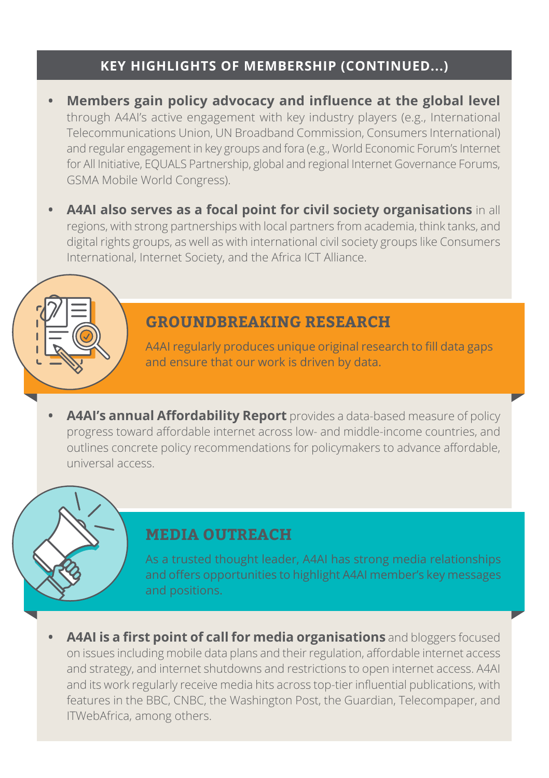#### **KEY HIGHLIGHTS OF MEMBERSHIP (CONTINUED...)**

- **• Members gain policy advocacy and influence at the global level** through A4AI's active engagement with key industry players (e.g., International Telecommunications Union, UN Broadband Commission, Consumers International) and regular engagement in key groups and fora (e.g., World Economic Forum's Internet for All Initiative, EQUALS Partnership, global and regional Internet Governance Forums, GSMA Mobile World Congress).
- **• A4AI also serves as a focal point for civil society organisations** in all regions, with strong partnerships with local partners from academia, think tanks, and digital rights groups, as well as with international civil society groups like Consumers International, Internet Society, and the Africa ICT Alliance.

#### **GROUNDBREAKING RESEARCH**

A4AI regularly produces unique original research to fill data gaps and ensure that our work is driven by data.

**• A4AI's annual Affordability Report** provides a data-based measure of policy progress toward affordable internet across low- and middle-income countries, and outlines concrete policy recommendations for policymakers to advance affordable, universal access.

#### **MEDIA OUTREACH**

As a trusted thought leader, A4AI has strong media relationships and offers opportunities to highlight A4AI member's key messages and positions.

**• A4AI is a first point of call for media organisations** and bloggers focused on issues including mobile data plans and their regulation, affordable internet access and strategy, and internet shutdowns and restrictions to open internet access. A4AI and its work regularly receive media hits across top-tier influential publications, with features in the BBC, CNBC, the Washington Post, the Guardian, Telecompaper, and ITWebAfrica, among others.